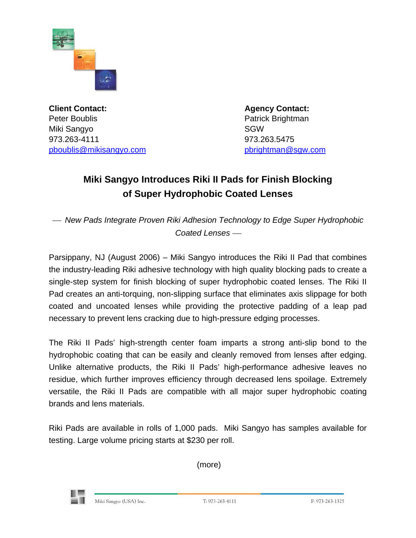

**Client Contact: Agency Contact: Agency Contact:** Peter Boublis **Patrick Brightman** Miki Sangyo SGW 973.263-4111 973.263.5475 [pboublis@mikisangyo.com](mailto:pboublis@mikisangyo.com) [pbrightman@sgw.com](mailto:pbrightman@sgw.com)

## **Miki Sangyo Introduces Riki II Pads for Finish Blocking of Super Hydrophobic Coated Lenses**

<sup>⎯</sup> *New Pads Integrate Proven Riki Adhesion Technology to Edge Super Hydrophobic*  Coated Lenses —

Parsippany, NJ (August 2006) – Miki Sangyo introduces the Riki II Pad that combines the industry-leading Riki adhesive technology with high quality blocking pads to create a single-step system for finish blocking of super hydrophobic coated lenses. The Riki II Pad creates an anti-torquing, non-slipping surface that eliminates axis slippage for both coated and uncoated lenses while providing the protective padding of a leap pad necessary to prevent lens cracking due to high-pressure edging processes.

The Riki II Pads' high-strength center foam imparts a strong anti-slip bond to the hydrophobic coating that can be easily and cleanly removed from lenses after edging. Unlike alternative products, the Riki II Pads' high-performance adhesive leaves no residue, which further improves efficiency through decreased lens spoilage. Extremely versatile, the Riki II Pads are compatible with all major super hydrophobic coating brands and lens materials.

Riki Pads are available in rolls of 1,000 pads. Miki Sangyo has samples available for testing. Large volume pricing starts at \$230 per roll.

(more)